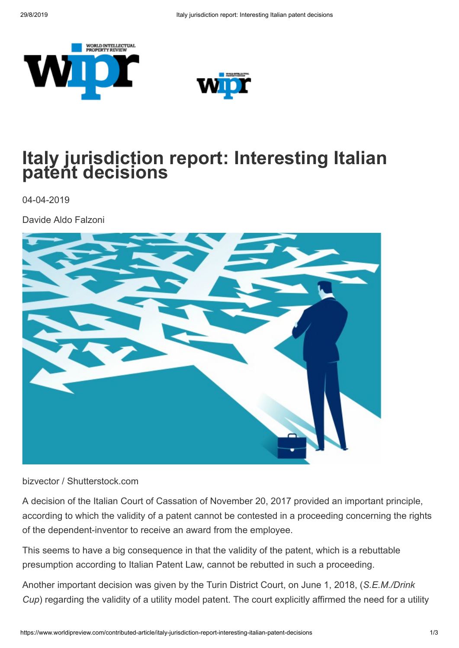



## **Italy jurisdiction report: Interesting Italian patent decisions**

04-04-2019

Davide Aldo Falzoni



bizvector / Shutterstock.com

A decision of the Italian Court of Cassation of November 20, 2017 provided an important principle, according to which the validity of a patent cannot be contested in a proceeding concerning the rights of the dependent-inventor to receive an award from the employee.

This seems to have a big consequence in that the validity of the patent, which is a rebuttable presumption according to Italian Patent Law, cannot be rebutted in such a proceeding.

Another important decision was given by the Turin District Court, on June 1, 2018, (*S.E.M./Drink Cup*) regarding the validity of a utility model patent. The court explicitly affirmed the need for a utility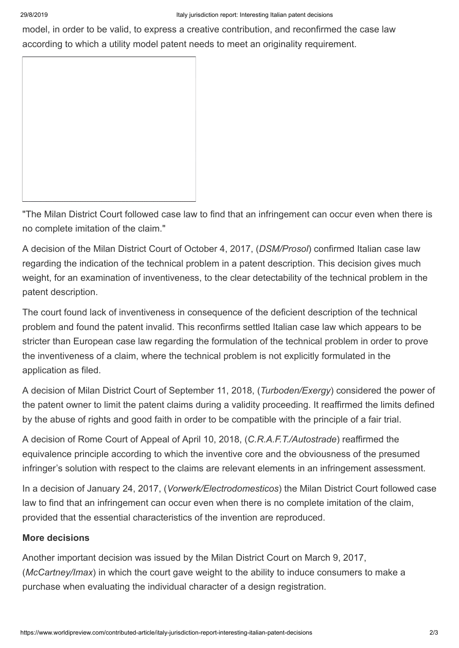model, in order to be valid, to express a creative contribution, and reconfirmed the case law according to which a utility model patent needs to meet an originality requirement.

"The Milan District Court followed case law to find that an infringement can occur even when there is no complete imitation of the claim."

A decision of the Milan District Court of October 4, 2017, (*DSM/Prosol*) confirmed Italian case law regarding the indication of the technical problem in a patent description. This decision gives much weight, for an examination of inventiveness, to the clear detectability of the technical problem in the patent description.

The court found lack of inventiveness in consequence of the deficient description of the technical problem and found the patent invalid. This reconfirms settled Italian case law which appears to be stricter than European case law regarding the formulation of the technical problem in order to prove the inventiveness of a claim, where the technical problem is not explicitly formulated in the application as filed.

A decision of Milan District Court of September 11, 2018, (*Turboden/Exergy*) considered the power of the patent owner to limit the patent claims during a validity proceeding. It reaffirmed the limits defined by the abuse of rights and good faith in order to be compatible with the principle of a fair trial.

A decision of Rome Court of Appeal of April 10, 2018, (*C.R.A.F.T./Autostrade*) reaffirmed the equivalence principle according to which the inventive core and the obviousness of the presumed infringer's solution with respect to the claims are relevant elements in an infringement assessment.

In a decision of January 24, 2017, (*Vorwerk/Electrodomesticos*) the Milan District Court followed case law to find that an infringement can occur even when there is no complete imitation of the claim, provided that the essential characteristics of the invention are reproduced.

## **More decisions**

Another important decision was issued by the Milan District Court on March 9, 2017, (*McCartney/Imax*) in which the court gave weight to the ability to induce consumers to make a purchase when evaluating the individual character of a design registration.